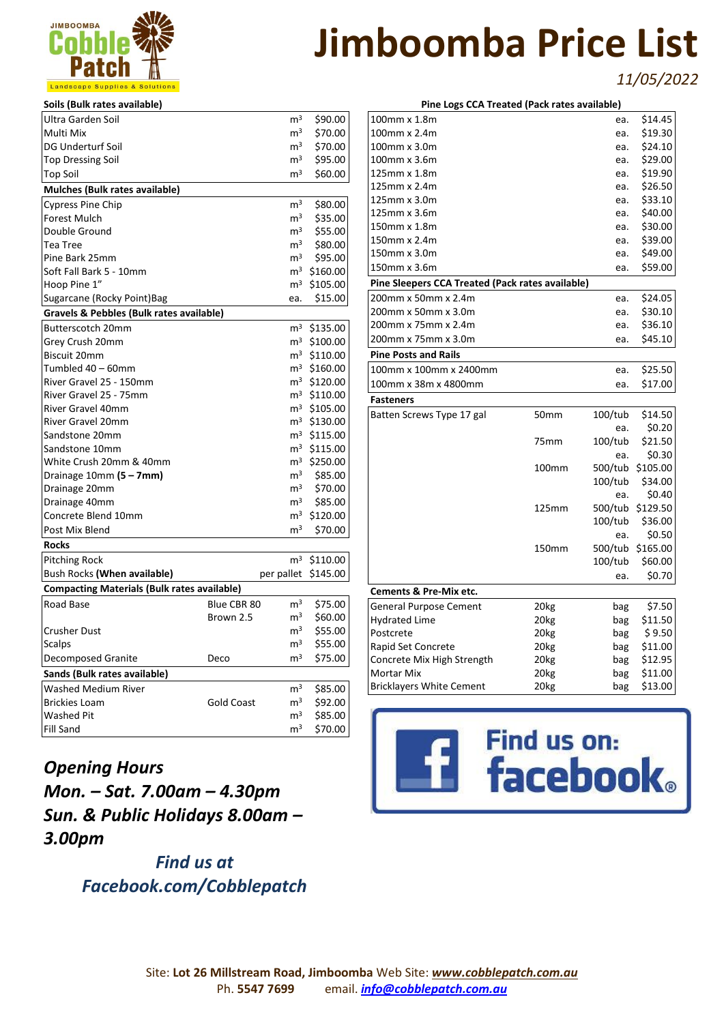

*11/05/2022*

| Soils (Bulk rates available)                       |                   |                |                         |
|----------------------------------------------------|-------------------|----------------|-------------------------|
| Ultra Garden Soil                                  |                   | m <sup>3</sup> | \$90.00                 |
| Multi Mix                                          |                   | m <sup>3</sup> | \$70.00                 |
| DG Underturf Soil                                  |                   | $\mathsf{m}^3$ | \$70.00                 |
| <b>Top Dressing Soil</b>                           |                   | $\mathsf{m}^3$ | \$95.00                 |
| <b>Top Soil</b>                                    |                   | m <sup>3</sup> | \$60.00                 |
| Mulches (Bulk rates available)                     |                   |                |                         |
| <b>Cypress Pine Chip</b>                           |                   | m <sup>3</sup> | \$80.00                 |
| Forest Mulch                                       |                   | m <sup>3</sup> | \$35.00                 |
| Double Ground                                      |                   | $\mathsf{m}^3$ | \$55.00                 |
| Tea Tree                                           |                   | $\mathsf{m}^3$ | \$80.00                 |
| Pine Bark 25mm                                     |                   | $\mathsf{m}^3$ | \$95.00                 |
| Soft Fall Bark 5 - 10mm                            |                   |                | m <sup>3</sup> \$160.00 |
| Hoop Pine 1"                                       |                   |                | m <sup>3</sup> \$105.00 |
| Sugarcane (Rocky Point) Bag                        |                   | ea.            | \$15.00                 |
| Gravels & Pebbles (Bulk rates available)           |                   |                |                         |
| Butterscotch 20mm                                  |                   |                | $m^3$ \$135.00          |
| Grey Crush 20mm                                    |                   |                | $m^3$ \$100.00          |
| Biscuit 20mm                                       |                   |                | m <sup>3</sup> \$110.00 |
| Tumbled 40 – 60mm                                  |                   |                | m <sup>3</sup> \$160.00 |
| River Gravel 25 - 150mm                            |                   |                | $m^3$ \$120.00          |
| River Gravel 25 - 75mm                             |                   |                | $m^3$ \$110.00          |
| River Gravel 40mm                                  |                   |                | m <sup>3</sup> \$105.00 |
| River Gravel 20mm                                  |                   |                | m <sup>3</sup> \$130.00 |
| Sandstone 20mm                                     |                   |                | $m^3$ \$115.00          |
| Sandstone 10mm                                     |                   |                | $m^3$ \$115.00          |
| White Crush 20mm & 40mm                            |                   |                | m <sup>3</sup> \$250.00 |
| Drainage $10mm(5-7mm)$                             |                   | m <sup>3</sup> | \$85.00                 |
| Drainage 20mm                                      |                   | m <sup>3</sup> | \$70.00                 |
| Drainage 40mm                                      |                   | $\mathsf{m}^3$ | \$85.00                 |
| Concrete Blend 10mm                                |                   |                | $m^3$ \$120.00          |
| Post Mix Blend                                     |                   | m <sup>3</sup> | \$70.00                 |
| Rocks                                              |                   |                |                         |
| <b>Pitching Rock</b>                               |                   | m <sup>3</sup> | \$110.00                |
| Bush Rocks (When available)                        |                   | per pallet     | \$145.00                |
| <b>Compacting Materials (Bulk rates available)</b> |                   |                |                         |
| Road Base                                          | Blue CBR 80       | m <sup>3</sup> | \$75.00                 |
|                                                    | Brown 2.5         | m <sup>3</sup> | \$60.00                 |
| Crusher Dust                                       |                   | $\mathsf{m}^3$ | \$55.00                 |
| Scalps                                             |                   | m <sup>3</sup> | \$55.00                 |
| <b>Decomposed Granite</b>                          | Deco              | m <sup>3</sup> | \$75.00                 |
| Sands (Bulk rates available)                       |                   |                |                         |
| <b>Washed Medium River</b>                         |                   | m <sup>3</sup> | \$85.00                 |
| <b>Brickies Loam</b>                               | <b>Gold Coast</b> | m <sup>3</sup> | \$92.00                 |
| Washed Pit                                         |                   | m <sup>3</sup> | \$85.00                 |
| Fill Sand                                          |                   | m <sup>3</sup> | \$70.00                 |

*Opening Hours Mon. – Sat. 7.00am – 4.30pm Sun. & Public Holidays 8.00am – 3.00pm*

> *Find us at Facebook.com/Cobblepatch*

| Pine Logs CCA Treated (Pack rates available)     |                  |         |                  |  |
|--------------------------------------------------|------------------|---------|------------------|--|
| 100mm x 1.8m                                     |                  | ea.     | \$14.45          |  |
| 100mm x 2.4m                                     |                  | ea.     | \$19.30          |  |
| 100mm x 3.0m                                     |                  | ea.     | \$24.10          |  |
| 100mm x 3.6m                                     |                  | ea.     | \$29.00          |  |
| 125mm x 1.8m                                     |                  | ea.     | \$19.90          |  |
| 125mm x 2.4m                                     |                  | ea.     | \$26.50          |  |
| 125mm x 3.0m                                     |                  | ea.     | \$33.10          |  |
| 125mm x 3.6m                                     |                  | ea.     | \$40.00          |  |
| 150mm x 1.8m                                     |                  | ea.     | \$30.00          |  |
| 150mm x 2.4m                                     |                  | ea.     | \$39.00          |  |
| 150mm x 3.0m                                     |                  | ea.     | \$49.00          |  |
| 150mm x 3.6m                                     |                  | ea.     | \$59.00          |  |
| Pine Sleepers CCA Treated (Pack rates available) |                  |         |                  |  |
| 200mm x 50mm x 2.4m                              |                  | ea.     | \$24.05          |  |
| 200mm x 50mm x 3.0m                              |                  | ea.     | \$30.10          |  |
| 200mm x 75mm x 2.4m                              |                  | ea.     | \$36.10          |  |
| 200mm x 75mm x 3.0m                              |                  | ea.     | \$45.10          |  |
| <b>Pine Posts and Rails</b>                      |                  |         |                  |  |
| 100mm x 100mm x 2400mm                           |                  | ea.     | \$25.50          |  |
| 100mm x 38m x 4800mm                             |                  | ea.     | \$17.00          |  |
| <b>Fasteners</b>                                 |                  |         |                  |  |
| Batten Screws Type 17 gal                        | 50 <sub>mm</sub> | 100/tub | \$14.50          |  |
|                                                  |                  | ea.     | \$0.20           |  |
|                                                  | 75 <sub>mm</sub> | 100/tub | \$21.50          |  |
|                                                  |                  | ea.     | \$0.30           |  |
|                                                  | 100mm            | 500/tub | \$105.00         |  |
|                                                  |                  | 100/tub | \$34.00          |  |
|                                                  |                  | ea.     | \$0.40           |  |
|                                                  | 125mm            |         | 500/tub \$129.50 |  |
|                                                  |                  | 100/tub | \$36.00          |  |
|                                                  |                  | ea.     | \$0.50           |  |
|                                                  | 150mm            |         | 500/tub \$165.00 |  |
|                                                  |                  | 100/tub | \$60.00          |  |
|                                                  |                  | ea.     | \$0.70           |  |
| <b>Cements &amp; Pre-Mix etc.</b>                |                  |         |                  |  |
| <b>General Purpose Cement</b>                    | 20 <sub>kg</sub> | bag     | \$7.50           |  |
| Hydrated Lime                                    | 20 <sub>kg</sub> | bag     | \$11.50          |  |
| Postcrete                                        | 20 <sub>kg</sub> | bag     | \$9.50           |  |
| Rapid Set Concrete                               | 20 <sub>kg</sub> | bag     | \$11.00          |  |
|                                                  |                  |         |                  |  |
| Concrete Mix High Strength                       | 20 <sub>kg</sub> | bag     | \$12.95          |  |
| Mortar Mix                                       | 20kg             | bag     | \$11.00          |  |

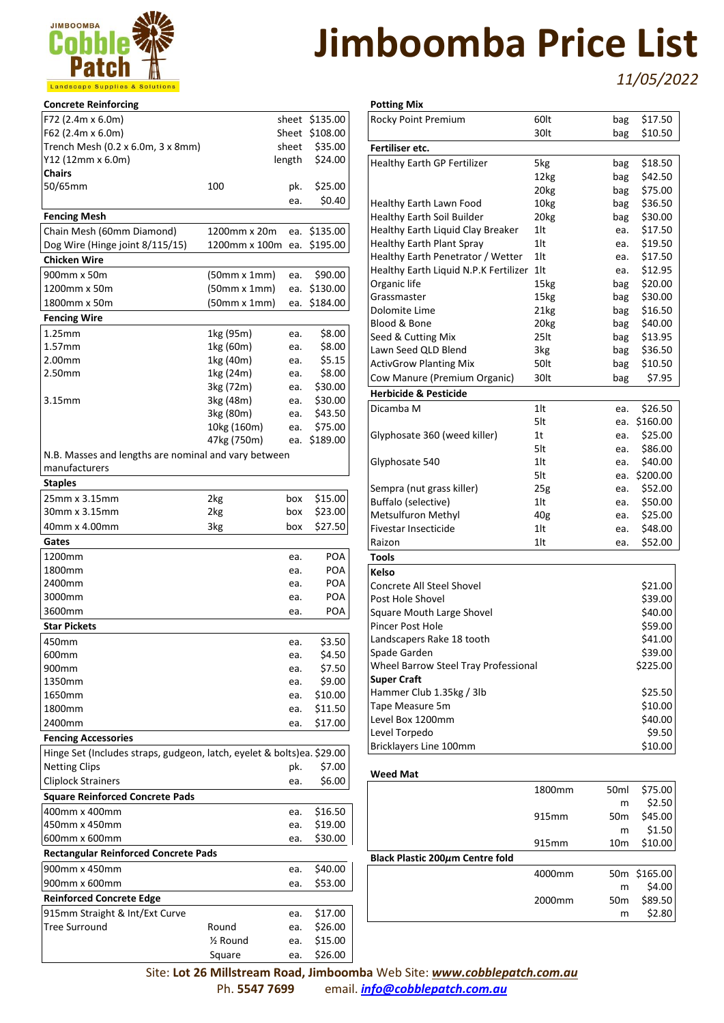

**Potting Mix**

*11/05/2022*

| <b>Concrete Reinforcing</b>                                            |                     |            |                  |
|------------------------------------------------------------------------|---------------------|------------|------------------|
| F72 (2.4m x 6.0m)                                                      |                     |            | sheet \$135.00   |
| F62 (2.4m x 6.0m)                                                      |                     |            | Sheet \$108.00   |
| Trench Mesh (0.2 x 6.0m, 3 x 8mm)                                      |                     | sheet      | \$35.00          |
| Y12 (12mm x 6.0m)                                                      |                     | length     | \$24.00          |
| <b>Chairs</b>                                                          |                     |            |                  |
| 50/65mm                                                                | 100                 | pk.        | \$25.00          |
|                                                                        |                     | ea.        | \$0.40           |
| <b>Fencing Mesh</b>                                                    |                     |            |                  |
| Chain Mesh (60mm Diamond)                                              | 1200mm x 20m        | ea.        | \$135.00         |
| Dog Wire (Hinge joint 8/115/15)                                        | 1200mm x 100m       | ea.        | \$195.00         |
| <b>Chicken Wire</b>                                                    |                     |            |                  |
| 900mm x 50m                                                            | (50mm x 1mm)        | ea.        | \$90.00          |
| 1200mm x 50m                                                           | (50mm x 1mm)        | ea.        | \$130.00         |
| 1800mm x 50m                                                           | $(50mm \times 1mm)$ | ea.        | \$184.00         |
| <b>Fencing Wire</b>                                                    |                     |            |                  |
| 1.25mm                                                                 | 1kg (95m)           | ea.        | \$8.00           |
| 1.57mm                                                                 | 1kg (60m)           | ea.        | \$8.00           |
| 2.00mm                                                                 | 1kg (40m)           | ea.        | \$5.15           |
| 2.50mm                                                                 | 1kg (24m)           | ea.        | \$8.00           |
|                                                                        | 3kg (72m)           | ea.        | \$30.00          |
| 3.15mm                                                                 | 3kg (48m)           | ea.        | \$30.00          |
|                                                                        | 3kg (80m)           | ea.        | \$43.50          |
|                                                                        | 10kg (160m)         | ea.        | \$75.00          |
|                                                                        | 47kg (750m)         | ea.        | \$189.00         |
| N.B. Masses and lengths are nominal and vary between                   |                     |            |                  |
| manufacturers                                                          |                     |            |                  |
| <b>Staples</b>                                                         |                     |            |                  |
| 25mm x 3.15mm                                                          | 2kg                 | box        | \$15.00          |
| 30mm x 3.15mm                                                          | 2kg                 | box        | \$23.00          |
| 40mm x 4.00mm                                                          | 3kg                 | box        | \$27.50          |
| Gates                                                                  |                     |            |                  |
| 1200mm                                                                 |                     | ea.        | POA              |
| 1800mm                                                                 |                     | ea.        | POA              |
| 2400mm                                                                 |                     | ea.        | POA              |
| 3000mm                                                                 |                     | ea.        | POA              |
| 3600mm                                                                 |                     | ea.        | POA              |
| <b>Star Pickets</b>                                                    |                     |            |                  |
|                                                                        |                     |            |                  |
| 450mm                                                                  |                     | ea.        | \$3.50           |
| 600mm<br>900mm                                                         |                     | ea.        | \$4.50<br>\$7.50 |
| 1350mm                                                                 |                     | ea.<br>ea. | \$9.00           |
| 1650mm                                                                 |                     | ea.        | \$10.00          |
| 1800mm                                                                 |                     | ea.        | \$11.50          |
| 2400mm                                                                 |                     | ea.        | \$17.00          |
| <b>Fencing Accessories</b>                                             |                     |            |                  |
|                                                                        |                     |            |                  |
| Hinge Set (Includes straps, gudgeon, latch, eyelet & bolts)ea. \$29.00 |                     |            | \$7.00           |
| <b>Netting Clips</b>                                                   |                     | pk.        |                  |
| <b>Cliplock Strainers</b>                                              |                     | ea.        | \$6.00           |
| <b>Square Reinforced Concrete Pads</b>                                 |                     |            |                  |
| 400mm x 400mm                                                          |                     | ea.        | \$16.50          |
| 450mm x 450mm                                                          |                     | ea.        | \$19.00          |
| 600mm x 600mm                                                          |                     | ea.        | \$30.00          |
| <b>Rectangular Reinforced Concrete Pads</b>                            |                     |            |                  |
| 900mm x 450mm                                                          |                     | ea.        | \$40.00          |
| 900mm x 600mm                                                          |                     | ea.        | \$53.00          |
| <b>Reinforced Concrete Edge</b>                                        |                     |            |                  |
| 915mm Straight & Int/Ext Curve                                         |                     | ea.        | \$17.00          |
| Tree Surround                                                          | Round               | ea.        | \$26.00          |
|                                                                        | ½ Round             | ea.        | \$15.00          |
|                                                                        | Square              | ea.        | \$26.00          |

| Rocky Point Premium                   | 60lt             | bag | \$17.50  |
|---------------------------------------|------------------|-----|----------|
|                                       | 30lt             | bag | \$10.50  |
| Fertiliser etc.                       |                  |     |          |
| <b>Healthy Earth GP Fertilizer</b>    | 5kg              | bag | \$18.50  |
|                                       | 12kg             | bag | \$42.50  |
|                                       | 20kg             | bag | \$75.00  |
| Healthy Earth Lawn Food               | 10 <sub>kg</sub> | bag | \$36.50  |
| <b>Healthy Earth Soil Builder</b>     | 20 <sub>kg</sub> | bag | \$30.00  |
| Healthy Earth Liquid Clay Breaker     | 1lt              | ea. | \$17.50  |
| <b>Healthy Earth Plant Spray</b>      | 1lt              | ea. | \$19.50  |
| Healthy Earth Penetrator / Wetter     | 1lt              | ea. | \$17.50  |
| Healthy Earth Liquid N.P.K Fertilizer | $1$ lt           | ea. | \$12.95  |
| Organic life                          | 15kg             | bag | \$20.00  |
| Grassmaster                           | 15kg             | bag | \$30.00  |
| Dolomite Lime                         | 21kg             | bag | \$16.50  |
| Blood & Bone                          | 20 <sub>kg</sub> | bag | \$40.00  |
| Seed & Cutting Mix                    | 25lt             | bag | \$13.95  |
| Lawn Seed QLD Blend                   | 3kg              | bag | \$36.50  |
| <b>ActivGrow Planting Mix</b>         | 50lt             | bag | \$10.50  |
| Cow Manure (Premium Organic)          | 30lt             | bag | \$7.95   |
| <b>Herbicide &amp; Pesticide</b>      |                  |     |          |
| Dicamba M                             | 1lt              | ea. | \$26.50  |
|                                       | 5lt              | ea. | \$160.00 |
| Glyphosate 360 (weed killer)          | 1t               | ea. | \$25.00  |
|                                       | 5lt              | ea. | \$86.00  |
| Glyphosate 540                        | $1$ lt           | ea. | \$40.00  |
|                                       | 5lt              | ea. | \$200.00 |
| Sempra (nut grass killer)             | 25g              | ea. | \$52.00  |
| Buffalo (selective)                   | 1lt              | ea. | \$50.00  |
| Metsulfuron Methyl                    | 40g              | ea. | \$25.00  |
| Fivestar Insecticide                  | $1$ lt           | ea. | \$48.00  |
| Raizon                                | 1lt              | ea. | \$52.00  |
| <b>Tools</b>                          |                  |     |          |
| Kelso                                 |                  |     |          |
| Concrete All Steel Shovel             |                  |     | \$21.00  |
| Post Hole Shovel                      |                  |     | \$39.00  |
| <b>Square Mouth Large Shovel</b>      |                  |     | \$40.00  |
| Pincer Post Hole                      |                  |     | \$59.00  |
| Landscapers Rake 18 tooth             |                  |     | \$41.00  |
| Spade Garden                          |                  |     | \$39.00  |
| Wheel Barrow Steel Tray Professional  |                  |     | \$225.00 |
| <b>Super Craft</b>                    |                  |     |          |
| Hammer Club 1.35kg / 3lb              |                  |     | \$25.50  |
| Tape Measure 5m                       |                  |     | \$10.00  |
| Level Box 1200mm                      |                  |     | \$40.00  |
| Level Torpedo                         |                  |     | \$9.50   |
| Bricklayers Line 100mm                |                  |     | \$10.00  |
|                                       |                  |     |          |

| <b>Weed Mat</b>                 |                    |                  |          |
|---------------------------------|--------------------|------------------|----------|
|                                 | 1800mm             | 50 <sub>ml</sub> | \$75.00  |
|                                 |                    | m                | \$2.50   |
|                                 | 915mm              | 50 <sub>m</sub>  | \$45.00  |
|                                 |                    | m                | \$1.50   |
|                                 | 915mm              | 10 <sub>m</sub>  | \$10.00  |
| Black Plastic 200µm Centre fold |                    |                  |          |
|                                 | 4000mm             | 50 <sub>m</sub>  | \$165.00 |
|                                 |                    | m                | \$4.00   |
|                                 | 2000 <sub>mm</sub> | 50 <sub>m</sub>  | \$89.50  |
|                                 |                    | m                | \$2.80   |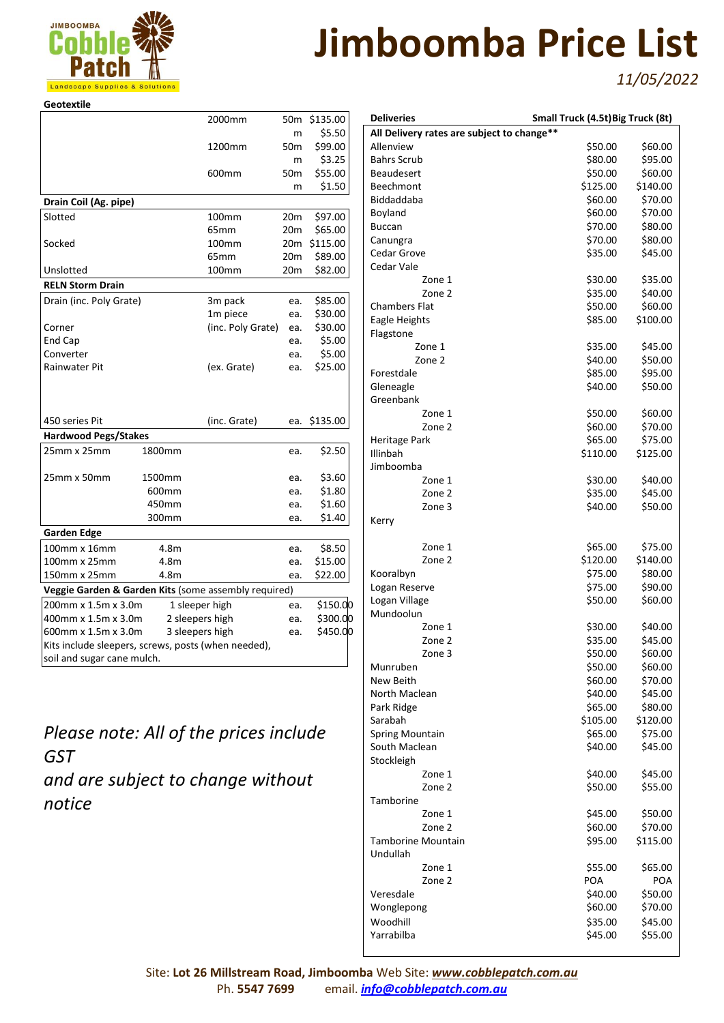

*11/05/2022*

| <b>Geotextile</b>                                    |        |                   |                 |          |
|------------------------------------------------------|--------|-------------------|-----------------|----------|
|                                                      |        | 2000mm            | 50m             | \$135.00 |
|                                                      |        |                   | m               | \$5.50   |
|                                                      |        | 1200mm            | 50 <sub>m</sub> | \$99.00  |
|                                                      |        |                   | m               | \$3.25   |
|                                                      |        | 600 <sub>mm</sub> | 50 <sub>m</sub> | \$55.00  |
|                                                      |        |                   | m               | \$1.50   |
| Drain Coil (Ag. pipe)                                |        |                   |                 |          |
| Slotted                                              |        | 100 <sub>mm</sub> | 20 <sub>m</sub> | \$97.00  |
|                                                      |        | 65 <sub>mm</sub>  | 20 <sub>m</sub> | \$65.00  |
| Socked                                               |        | 100 <sub>mm</sub> | 20 <sub>m</sub> | \$115.00 |
|                                                      |        | 65 <sub>mm</sub>  | 20 <sub>m</sub> | \$89.00  |
| Unslotted                                            |        | 100 <sub>mm</sub> | 20 <sub>m</sub> | \$82.00  |
| <b>RELN Storm Drain</b>                              |        |                   |                 |          |
| Drain (inc. Poly Grate)                              |        | 3m pack           | ea.             | \$85.00  |
|                                                      |        | 1m piece          | ea.             | \$30.00  |
| Corner                                               |        | (inc. Poly Grate) | ea.             | \$30.00  |
| End Cap                                              |        |                   | ea.             | \$5.00   |
| Converter                                            |        |                   | ea.             | \$5.00   |
| Rainwater Pit                                        |        | (ex. Grate)       | ea.             | \$25.00  |
| 450 series Pit                                       |        | (inc. Grate)      | ea.             | \$135.00 |
| <b>Hardwood Pegs/Stakes</b>                          |        |                   |                 |          |
| 25mm x 25mm                                          | 1800mm |                   | ea.             | \$2.50   |
| 25mm x 50mm                                          | 1500mm |                   | ea.             | \$3.60   |
|                                                      | 600mm  |                   | ea.             | \$1.80   |
|                                                      | 450mm  |                   | ea.             | \$1.60   |
|                                                      | 300mm  |                   | ea.             | \$1.40   |
| <b>Garden Edge</b>                                   |        |                   |                 |          |
| 100mm x 16mm                                         | 4.8m   |                   | ea.             | \$8.50   |
| 100mm x 25mm                                         | 4.8m   |                   | ea.             | \$15.00  |
| 150mm x 25mm                                         | 4.8m   |                   | ea.             | \$22.00  |
| Veggie Garden & Garden Kits (some assembly required) |        |                   |                 |          |
| 200mm x 1.5m x 3.0m                                  |        | 1 sleeper high    | ea.             | \$150.00 |
| 400mm x 1.5m x 3.0m                                  |        | 2 sleepers high   | ea.             | \$300.00 |
| 600mm x 1.5m x 3.0m                                  |        | 3 sleepers high   | ea.             | \$450.00 |
| Kits include sleepers, screws, posts (when needed),  |        |                   |                 |          |
| soil and sugar cane mulch.                           |        |                   |                 |          |

*Please note: All of the prices include GST and are subject to change without notice*

| <b>Deliveries</b>                          | Small Truck (4.5t) Big Truck (8t) |                    |
|--------------------------------------------|-----------------------------------|--------------------|
| All Delivery rates are subject to change** |                                   |                    |
| Allenview                                  | \$50.00                           | \$60.00            |
| <b>Bahrs Scrub</b>                         | \$80.00                           | \$95.00            |
| <b>Beaudesert</b>                          | \$50.00                           | \$60.00            |
| <b>Beechmont</b>                           | \$125.00                          | \$140.00           |
| Biddaddaba                                 | \$60.00                           | \$70.00            |
| Boyland                                    | \$60.00                           | \$70.00            |
| <b>Buccan</b>                              | \$70.00                           | \$80.00            |
| Canungra                                   | \$70.00                           | \$80.00            |
| Cedar Grove                                | \$35.00                           | \$45.00            |
| Cedar Vale                                 |                                   |                    |
| Zone 1                                     | \$30.00                           | \$35.00            |
| Zone 2                                     | \$35.00                           | \$40.00            |
|                                            | \$50.00                           | \$60.00            |
| Chambers Flat                              |                                   |                    |
| Eagle Heights                              | \$85.00                           | \$100.00           |
| Flagstone                                  |                                   |                    |
| Zone 1                                     | \$35.00                           | \$45.00            |
| Zone 2                                     | \$40.00                           | \$50.00            |
| Forestdale                                 | \$85.00                           | \$95.00            |
| Gleneagle                                  | \$40.00                           | \$50.00            |
| Greenbank                                  |                                   |                    |
| Zone 1                                     | \$50.00                           | \$60.00            |
| Zone 2                                     | \$60.00                           | \$70.00            |
| Heritage Park                              | \$65.00                           | \$75.00            |
| Illinbah                                   | \$110.00                          | \$125.00           |
| Jimboomba                                  |                                   |                    |
| Zone 1                                     | \$30.00                           | \$40.00            |
| Zone 2                                     | \$35.00                           | \$45.00            |
| Zone 3                                     | \$40.00                           | \$50.00            |
| Kerry                                      |                                   |                    |
|                                            |                                   |                    |
| Zone 1                                     | \$65.00                           | \$75.00            |
| Zone 2                                     | \$120.00                          | \$140.00           |
|                                            | \$75.00                           | \$80.00            |
| Kooralbyn                                  |                                   |                    |
| Logan Reserve                              | \$75.00                           | \$90.00<br>\$60.00 |
| Logan Village                              | \$50.00                           |                    |
| Mundoolun                                  |                                   |                    |
| Zone 1                                     | \$30.00                           | \$40.00            |
| Zone 2                                     | \$35.00                           | \$45.00            |
| Zone 3                                     | \$50.00                           | \$60.00            |
| Munruben                                   | \$50.00                           | \$60.00            |
| New Beith                                  | \$60.00                           | \$70.00            |
| North Maclean                              | \$40.00                           | \$45.00            |
| Park Ridge                                 | \$65.00                           | \$80.00            |
| Sarabah                                    | \$105.00                          | \$120.00           |
| <b>Spring Mountain</b>                     | \$65.00                           | \$75.00            |
| South Maclean                              | \$40.00                           | \$45.00            |
| Stockleigh                                 |                                   |                    |
| Zone 1                                     | \$40.00                           | \$45.00            |
| Zone 2                                     | \$50.00                           | \$55.00            |
| Tamborine                                  |                                   |                    |
| Zone 1                                     | \$45.00                           | \$50.00            |
| Zone 2                                     | \$60.00                           | \$70.00            |
| Tamborine Mountain                         | \$95.00                           | \$115.00           |
| Undullah                                   |                                   |                    |
| Zone 1                                     | \$55.00                           | \$65.00            |
|                                            | POA                               |                    |
| Zone 2                                     |                                   | POA                |
| Veresdale                                  | \$40.00                           | \$50.00            |
| Wonglepong                                 | \$60.00                           | \$70.00            |
| Woodhill                                   | \$35.00                           | \$45.00            |
| Yarrabilba                                 | \$45.00                           | \$55.00            |
|                                            |                                   |                    |